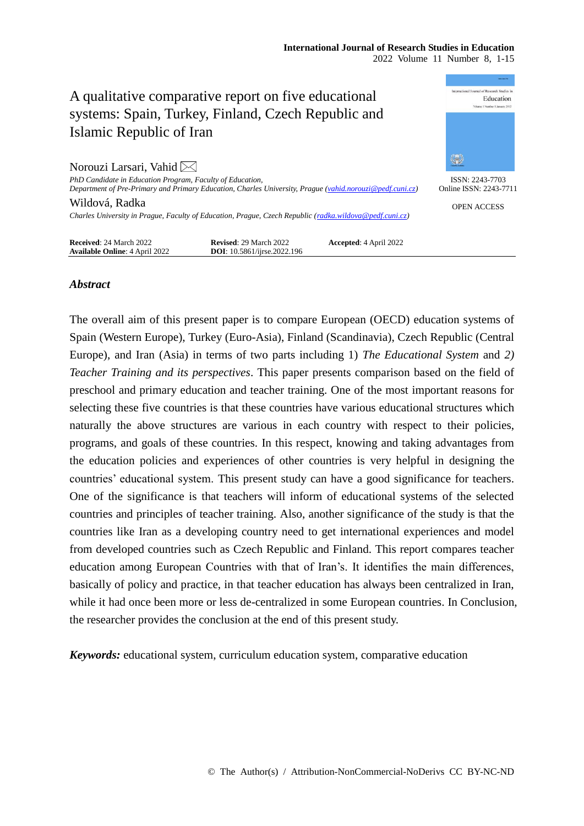### **International Journal of Research Studies in Education** 2022 Volume 11 Number 8, 1-15



# *Abstract*

The overall aim of this present paper is to compare European (OECD) education systems of Spain (Western Europe), Turkey (Euro-Asia), Finland (Scandinavia), Czech Republic (Central Europe), and Iran (Asia) in terms of two parts including 1) *The Educational System* and *2) Teacher Training and its perspectives*. This paper presents comparison based on the field of preschool and primary education and teacher training. One of the most important reasons for selecting these five countries is that these countries have various educational structures which naturally the above structures are various in each country with respect to their policies, programs, and goals of these countries. In this respect, knowing and taking advantages from the education policies and experiences of other countries is very helpful in designing the countries' educational system. This present study can have a good significance for teachers. One of the significance is that teachers will inform of educational systems of the selected countries and principles of teacher training. Also, another significance of the study is that the countries like Iran as a developing country need to get international experiences and model from developed countries such as Czech Republic and Finland. This report compares teacher education among European Countries with that of Iran's. It identifies the main differences, basically of policy and practice, in that teacher education has always been centralized in Iran, while it had once been more or less de-centralized in some European countries. In Conclusion, the researcher provides the conclusion at the end of this present study.

*Keywords:* educational system, curriculum education system, comparative education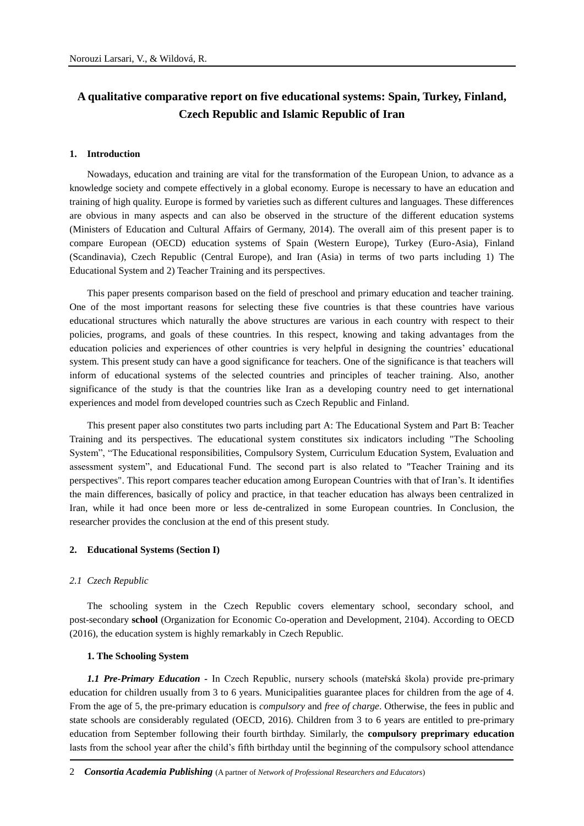# **A qualitative comparative report on five educational systems: Spain, Turkey, Finland, Czech Republic and Islamic Republic of Iran**

#### **1. Introduction**

Nowadays, education and training are vital for the transformation of the European Union, to advance as a knowledge society and compete effectively in a global economy. Europe is necessary to have an education and training of high quality. Europe is formed by varieties such as different cultures and languages. These differences are obvious in many aspects and can also be observed in the structure of the different education systems (Ministers of Education and Cultural Affairs of Germany, 2014). The overall aim of this present paper is to compare European (OECD) education systems of Spain (Western Europe), Turkey (Euro-Asia), Finland (Scandinavia), Czech Republic (Central Europe), and Iran (Asia) in terms of two parts including 1) The Educational System and 2) Teacher Training and its perspectives.

This paper presents comparison based on the field of preschool and primary education and teacher training. One of the most important reasons for selecting these five countries is that these countries have various educational structures which naturally the above structures are various in each country with respect to their policies, programs, and goals of these countries. In this respect, knowing and taking advantages from the education policies and experiences of other countries is very helpful in designing the countries' educational system. This present study can have a good significance for teachers. One of the significance is that teachers will inform of educational systems of the selected countries and principles of teacher training. Also, another significance of the study is that the countries like Iran as a developing country need to get international experiences and model from developed countries such as Czech Republic and Finland.

This present paper also constitutes two parts including part A: The Educational System and Part B: Teacher Training and its perspectives. The educational system constitutes six indicators including "The Schooling System", "The Educational responsibilities, Compulsory System, Curriculum Education System, Evaluation and assessment system", and Educational Fund. The second part is also related to "Teacher Training and its perspectives". This report compares teacher education among European Countries with that of Iran's. It identifies the main differences, basically of policy and practice, in that teacher education has always been centralized in Iran, while it had once been more or less de-centralized in some European countries. In Conclusion, the researcher provides the conclusion at the end of this present study.

## **2. Educational Systems (Section I)**

#### *2.1 Czech Republic*

The schooling system in the Czech Republic covers elementary school, secondary school, and post-secondary **school** (Organization for Economic Co-operation and Development, 2104). According to OECD (2016), the education system is highly remarkably in Czech Republic.

## **1. The Schooling System**

*1.1 Pre-Primary Education -* In Czech Republic, nursery schools (mateřská škola) provide pre-primary education for children usually from 3 to 6 years. Municipalities guarantee places for children from the age of 4. From the age of 5, the pre-primary education is *compulsory* and *free of charge*. Otherwise, the fees in public and state schools are considerably regulated (OECD, 2016). Children from 3 to 6 years are entitled to pre-primary education from September following their fourth birthday. Similarly, the **compulsory preprimary education** lasts from the school year after the child's fifth birthday until the beginning of the compulsory school attendance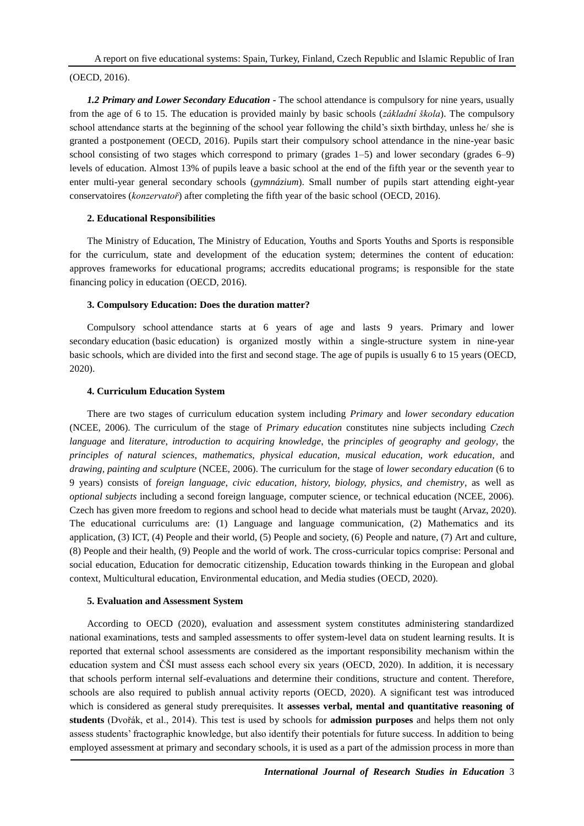A report on five educational systems: Spain, Turkey, Finland, Czech Republic and Islamic Republic of Iran

# (OECD, 2016).

*1.2 Primary and Lower Secondary Education -* The school attendance is compulsory for nine years, usually from the age of 6 to 15. The education is provided mainly by basic schools (*základní škola*). The compulsory school attendance starts at the beginning of the school year following the child's sixth birthday, unless he/ she is granted a postponement (OECD, 2016). Pupils start their compulsory school attendance in the nine-year basic school consisting of two stages which correspond to primary (grades 1–5) and lower secondary (grades 6–9) levels of education. Almost 13% of pupils leave a basic school at the end of the fifth year or the seventh year to enter multi-year general secondary schools (*gymnázium*). Small number of pupils start attending eight-year conservatoires (*konzervatoř*) after completing the fifth year of the basic school (OECD, 2016).

# **2. Educational Responsibilities**

The Ministry of Education, The Ministry of Education, Youths and Sports Youths and Sports is responsible for the curriculum, state and development of the education system; determines the content of education: approves frameworks for educational programs; accredits educational programs; is responsible for the state financing policy in education (OECD, 2016).

# **3. Compulsory Education: Does the duration matter?**

Compulsory school attendance starts at 6 years of age and lasts 9 years. Primary and lower secondary education (basic education) is organized mostly within a single-structure system in nine-year basic schools, which are divided into the first and second stage. The age of pupils is usually 6 to 15 years (OECD, 2020).

# **4. Curriculum Education System**

There are two stages of curriculum education system including *Primary* and *lower secondary education* (NCEE, 2006). The curriculum of the stage of *Primary education* constitutes nine subjects including *Czech language* and *literature*, *introduction to acquiring knowledge*, the *principles of geography and geology*, the *principles of natural sciences*, *mathematics*, *physical education*, *musical education*, *work education*, and *drawing, painting and sculpture* (NCEE, 2006). The curriculum for the stage of *lower secondary education* (6 to 9 years) consists of *foreign language*, *civic education, history, biology, physics, and chemistry*, as well as *optional subjects* including a second foreign language, computer science, or technical education (NCEE, 2006). Czech has given more freedom to regions and school head to decide what materials must be taught (Arvaz, 2020). The educational curriculums are: (1) Language and language communication, (2) Mathematics and its application, (3) ICT, (4) People and their world, (5) People and society, (6) People and nature, (7) Art and culture, (8) People and their health, (9) People and the world of work. The cross-curricular topics comprise: Personal and social education, Education for democratic citizenship, Education towards thinking in the European and global context, Multicultural education, Environmental education, and Media studies (OECD, 2020).

## **5. Evaluation and Assessment System**

According to OECD (2020), evaluation and assessment system constitutes administering standardized national examinations, tests and sampled assessments to offer system-level data on student learning results. It is reported that external school assessments are considered as the important responsibility mechanism within the education system and ČŠI must assess each school every six years (OECD, 2020). In addition, it is necessary that schools perform internal self-evaluations and determine their conditions, structure and content. Therefore, schools are also required to publish annual activity reports (OECD, 2020). A significant test was introduced which is considered as general study prerequisites. It **assesses verbal, mental and quantitative reasoning of students** (Dvořák, et al., 2014). This test is used by schools for **admission purposes** and helps them not only assess students' fractographic knowledge, but also identify their potentials for future success. In addition to being employed assessment at primary and secondary schools, it is used as a part of the admission process in more than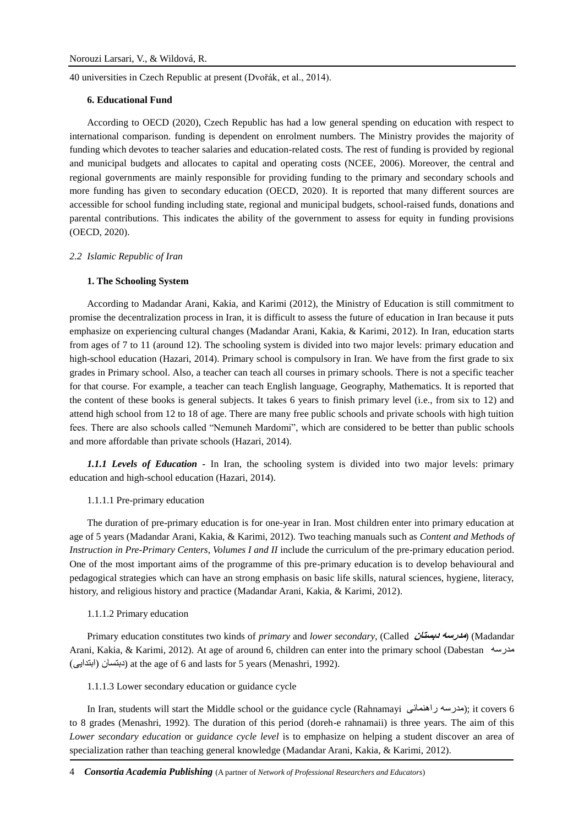40 universities in Czech Republic at present (Dvořák, et al., 2014).

### **6. Educational Fund**

According to OECD (2020), Czech Republic has had a low general spending on education with respect to international comparison. funding is dependent on enrolment numbers. The Ministry provides the majority of funding which devotes to teacher salaries and education-related costs. The rest of funding is provided by regional and municipal budgets and allocates to capital and operating costs (NCEE, 2006). Moreover, the central and regional governments are mainly responsible for providing funding to the primary and secondary schools and more funding has given to secondary education (OECD, 2020). It is reported that many different sources are accessible for school funding including state, regional and municipal budgets, school-raised funds, donations and parental contributions. This indicates the ability of the government to assess for equity in funding provisions (OECD, 2020).

#### *2.2 Islamic Republic of Iran*

## **1. The Schooling System**

According to Madandar Arani, Kakia, and Karimi (2012), the Ministry of Education is still commitment to promise the decentralization process in Iran, it is difficult to assess the future of education in Iran because it puts emphasize on experiencing cultural changes (Madandar Arani, Kakia, & Karimi, 2012). In Iran, education starts from ages of 7 to 11 (around 12). The schooling system is divided into two major levels: primary education and high-school education (Hazari, 2014). Primary school is compulsory in Iran. We have from the first grade to six grades in Primary school. Also, a teacher can teach all courses in primary schools. There is not a specific teacher for that course. For example, a teacher can teach English language, Geography, Mathematics. It is reported that the content of these books is general subjects. It takes 6 years to finish primary level (i.e., from six to 12) and attend high school from 12 to 18 of age. There are many free public schools and private schools with high tuition fees. There are also schools called "Nemuneh Mardomi", which are considered to be better than public schools and more affordable than private schools (Hazari, 2014).

*1.1.1 Levels of Education -* In Iran, the schooling system is divided into two major levels: primary education and high-school education (Hazari, 2014).

# 1.1.1.1 Pre-primary education

The duration of pre-primary education is for one-year in Iran. Most children enter into primary education at age of 5 years (Madandar Arani, Kakia, & Karimi, 2012). Two teaching manuals such as *Content and Methods of Instruction in Pre-Primary Centers, Volumes I and II* include the curriculum of the pre-primary education period. One of the most important aims of the programme of this pre-primary education is to develop behavioural and pedagogical strategies which can have an strong emphasis on basic life skills, natural sciences, hygiene, literacy, history, and religious history and practice (Madandar Arani, Kakia, & Karimi, 2012).

#### 1.1.1.2 Primary education

Primary education constitutes two kinds of *primary* and *lower secondary*, (Called **دبستان مدرسه**) (Madandar Arani, Kakia, & Karimi, 2012). At age of around 6, children can enter into the primary school (Dabestan مدرسه )ابتدایی )دبتسان (at the age of 6 and lasts for 5 years (Menashri, 1992).

1.1.1.3 Lower secondary education or guidance cycle

In Iran, students will start the Middle school or the guidance cycle (Rahnamayi راهنمائی مدرسه ;(it covers 6 to 8 grades (Menashri, 1992). The duration of this period (doreh-e rahnamaii) is three years. The aim of this *Lower secondary education* or *guidance cycle level* is to emphasize on helping a student discover an area of specialization rather than teaching general knowledge (Madandar Arani, Kakia, & Karimi, 2012).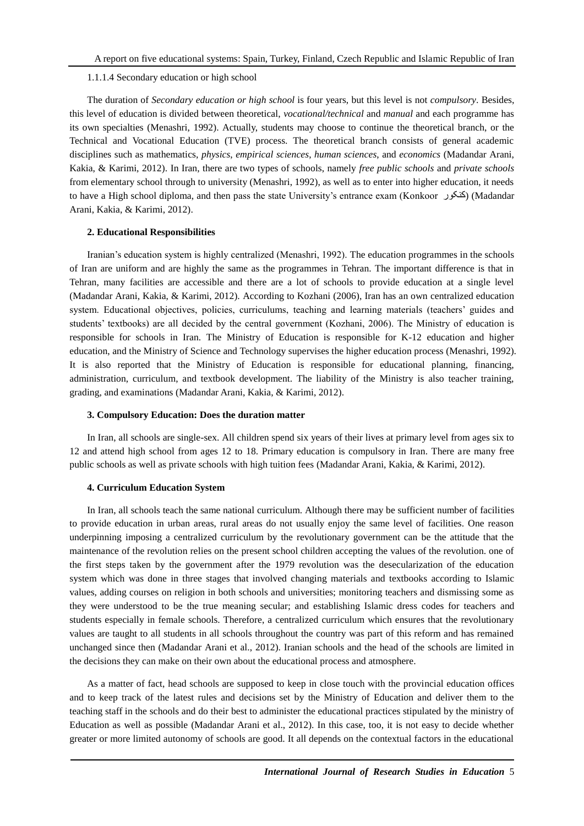#### 1.1.1.4 Secondary education or high school

The duration of *Secondary education or high school* is four years, but this level is not *compulsory*. Besides, this level of education is divided between theoretical, *vocational/technical* and *manual* and each programme has its own specialties (Menashri, 1992). Actually, students may choose to continue the theoretical branch, or the Technical and Vocational Education (TVE) process. The theoretical branch consists of general academic disciplines such as mathematics, *physics*, *empirical sciences*, *human sciences*, and *economics* (Madandar Arani, Kakia, & Karimi, 2012). In Iran, there are two types of schools, namely *free public schools* and *private schools* from elementary school through to university (Menashri, 1992), as well as to enter into higher education, it needs to have a High school diploma, and then pass the state University's entrance exam (Konkoor کنکور) (Madandar Arani, Kakia, & Karimi, 2012).

#### **2. Educational Responsibilities**

Iranian's education system is highly centralized (Menashri, 1992). The education programmes in the schools of Iran are uniform and are highly the same as the programmes in Tehran. The important difference is that in Tehran, many facilities are accessible and there are a lot of schools to provide education at a single level (Madandar Arani, Kakia, & Karimi, 2012). According to Kozhani (2006), Iran has an own centralized education system. Educational objectives, policies, curriculums, teaching and learning materials (teachers' guides and students' textbooks) are all decided by the central government (Kozhani, 2006). The Ministry of education is responsible for schools in Iran. The Ministry of Education is responsible for K-12 education and higher education, and the Ministry of Science and Technology supervises the higher education process (Menashri, 1992). It is also reported that the Ministry of Education is responsible for educational planning, financing, administration, curriculum, and textbook development. The liability of the Ministry is also teacher training, grading, and examinations (Madandar Arani, Kakia, & Karimi, 2012).

#### **3. Compulsory Education: Does the duration matter**

In Iran, all schools are single-sex. All children spend six years of their lives at primary level from ages six to 12 and attend high school from ages 12 to 18. Primary education is compulsory in Iran. There are many free public schools as well as private schools with high tuition fees (Madandar Arani, Kakia, & Karimi, 2012).

# **4. Curriculum Education System**

In Iran, all schools teach the same national curriculum. Although there may be sufficient number of facilities to provide education in urban areas, rural areas do not usually enjoy the same level of facilities. One reason underpinning imposing a centralized curriculum by the revolutionary government can be the attitude that the maintenance of the revolution relies on the present school children accepting the values of the revolution. one of the first steps taken by the government after the 1979 revolution was the desecularization of the education system which was done in three stages that involved changing materials and textbooks according to Islamic values, adding courses on religion in both schools and universities; monitoring teachers and dismissing some as they were understood to be the true meaning secular; and establishing Islamic dress codes for teachers and students especially in female schools. Therefore, a centralized curriculum which ensures that the revolutionary values are taught to all students in all schools throughout the country was part of this reform and has remained unchanged since then (Madandar Arani et al., 2012). Iranian schools and the head of the schools are limited in the decisions they can make on their own about the educational process and atmosphere.

As a matter of fact, head schools are supposed to keep in close touch with the provincial education offices and to keep track of the latest rules and decisions set by the Ministry of Education and deliver them to the teaching staff in the schools and do their best to administer the educational practices stipulated by the ministry of Education as well as possible (Madandar Arani et al., 2012). In this case, too, it is not easy to decide whether greater or more limited autonomy of schools are good. It all depends on the contextual factors in the educational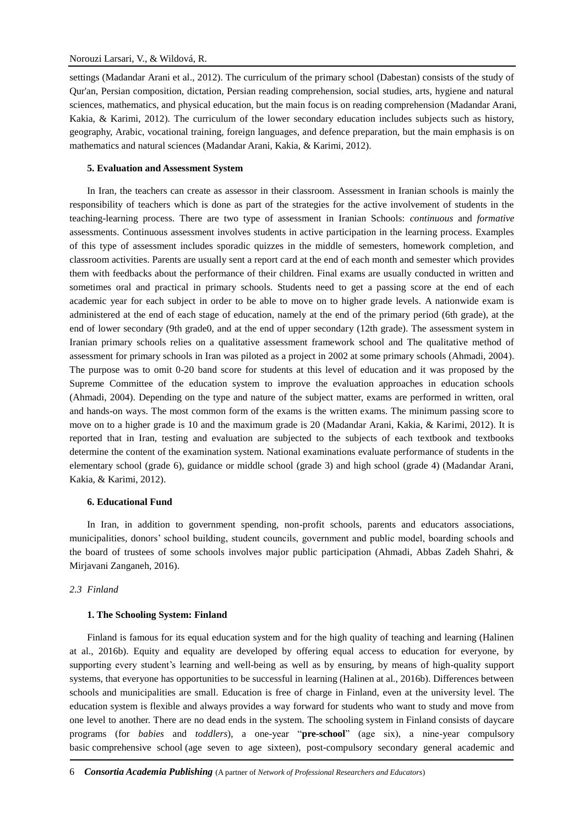settings (Madandar Arani et al., 2012). The curriculum of the primary school (Dabestan) consists of the study of Qur'an, Persian composition, dictation, Persian reading comprehension, social studies, arts, hygiene and natural sciences, mathematics, and physical education, but the main focus is on reading comprehension (Madandar Arani, Kakia, & Karimi, 2012). The curriculum of the lower secondary education includes subjects such as history, geography, Arabic, vocational training, foreign languages, and defence preparation, but the main emphasis is on mathematics and natural sciences (Madandar Arani, Kakia, & Karimi, 2012).

#### **5. Evaluation and Assessment System**

In Iran, the teachers can create as assessor in their classroom. Assessment in Iranian schools is mainly the responsibility of teachers which is done as part of the strategies for the active involvement of students in the teaching-learning process. There are two type of assessment in Iranian Schools: *continuous* and *formative* assessments. Continuous assessment involves students in active participation in the learning process. Examples of this type of assessment includes sporadic quizzes in the middle of semesters, homework completion, and classroom activities. Parents are usually sent a report card at the end of each month and semester which provides them with feedbacks about the performance of their children. Final exams are usually conducted in written and sometimes oral and practical in primary schools. Students need to get a passing score at the end of each academic year for each subject in order to be able to move on to higher grade levels. A nationwide exam is administered at the end of each stage of education, namely at the end of the primary period (6th grade), at the end of lower secondary (9th grade0, and at the end of upper secondary (12th grade). The assessment system in Iranian primary schools relies on a qualitative assessment framework school and The qualitative method of assessment for primary schools in Iran was piloted as a project in 2002 at some primary schools (Ahmadi, 2004). The purpose was to omit 0-20 band score for students at this level of education and it was proposed by the Supreme Committee of the education system to improve the evaluation approaches in education schools (Ahmadi, 2004). Depending on the type and nature of the subject matter, exams are performed in written, oral and hands-on ways. The most common form of the exams is the written exams. The minimum passing score to move on to a higher grade is 10 and the maximum grade is 20 (Madandar Arani, Kakia, & Karimi, 2012). It is reported that in Iran, testing and evaluation are subjected to the subjects of each textbook and textbooks determine the content of the examination system. National examinations evaluate performance of students in the elementary school (grade 6), guidance or middle school (grade 3) and high school (grade 4) (Madandar Arani, Kakia, & Karimi, 2012).

# **6. Educational Fund**

In Iran, in addition to government spending, non-profit schools, parents and educators associations, municipalities, donors' school building, student councils, government and public model, boarding schools and the board of trustees of some schools involves major public participation (Ahmadi, Abbas Zadeh Shahri, & Mirjavani Zanganeh, 2016).

# *2.3 Finland*

#### **1. The Schooling System: Finland**

Finland is famous for its equal education system and for the high quality of teaching and learning (Halinen at al., 2016b). Equity and equality are developed by offering equal access to education for everyone, by supporting every student's learning and well-being as well as by ensuring, by means of high-quality support systems, that everyone has opportunities to be successful in learning (Halinen at al., 2016b). Differences between schools and municipalities are small. Education is free of charge in Finland, even at the university level. The education system is flexible and always provides a way forward for students who want to study and move from one level to another. There are no dead ends in the system. The [schooling](https://en.wikipedia.org/wiki/Education) system in Finland consists of daycare programs (for *babies* and *toddlers*), a one-year "**pre-school**" (age six), a nine-year compulsory basic [comprehensive school](https://en.wikipedia.org/wiki/Comprehensive_school) (age seven to age sixteen), post-compulsory secondary general academic and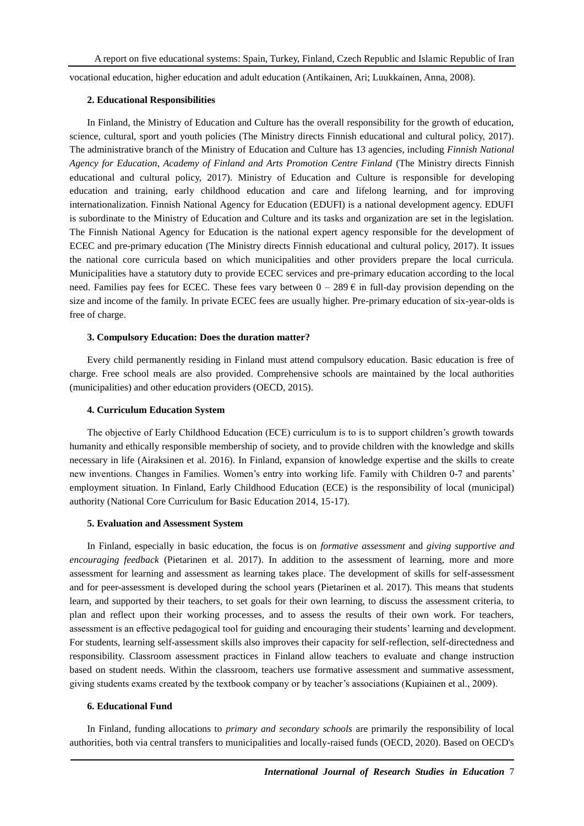vocational education, higher education and adult education (Antikainen, Ari; Luukkainen, Anna, 2008).

#### **2. Educational Responsibilities**

In Finland, the Ministry of Education and Culture has the overall responsibility for the growth of education, science, cultural, sport and youth policies (The Ministry directs Finnish educational and cultural policy, 2017). The administrative branch of the Ministry of Education and Culture has 13 agencies, including *Finnish National Agency for Education*, *Academy of Finland and Arts Promotion Centre Finland* (The Ministry directs Finnish educational and cultural policy, 2017). Ministry of Education and Culture is responsible for developing education and training, early childhood education and care and lifelong learning, and for improving internationalization. Finnish National Agency for Education (EDUFI) is a national development agency. EDUFI is subordinate to the Ministry of Education and Culture and its tasks and organization are set in the legislation. The Finnish National Agency for Education is the national expert agency responsible for the development of ECEC and pre-primary education (The Ministry directs Finnish educational and cultural policy, 2017). It issues the national core curricula based on which municipalities and other providers prepare the local curricula. Municipalities have a statutory duty to provide ECEC services and pre-primary education according to the local need. Families pay fees for ECEC. These fees vary between  $0 - 289 \epsilon$  in full-day provision depending on the size and income of the family. In private ECEC fees are usually higher. Pre-primary education of six-year-olds is free of charge.

## **3. Compulsory Education: Does the duration matter?**

Every child permanently residing in Finland must attend compulsory education. Basic education is free of charge. Free school meals are also provided. Comprehensive schools are maintained by the local authorities (municipalities) and other education providers (OECD, 2015).

#### **4. Curriculum Education System**

The objective of Early Childhood Education (ECE) curriculum is to is to support children's growth towards humanity and ethically responsible membership of society, and to provide children with the knowledge and skills necessary in life (Airaksinen et al. 2016). In Finland, expansion of knowledge expertise and the skills to create new inventions. Changes in Families. Women's entry into working life. Family with Children 0-7 and parents' employment situation. In Finland, Early Childhood Education (ECE) is the responsibility of local (municipal) authority (National Core Curriculum for Basic Education 2014, 15-17).

#### **5. Evaluation and Assessment System**

In Finland, especially in basic education, the focus is on *formative assessment* and *giving supportive and encouraging feedback* (Pietarinen et al. 2017). In addition to the assessment of learning, more and more assessment for learning and assessment as learning takes place. The development of skills for self-assessment and for peer-assessment is developed during the school years (Pietarinen et al. 2017). This means that students learn, and supported by their teachers, to set goals for their own learning, to discuss the assessment criteria, to plan and reflect upon their working processes, and to assess the results of their own work. For teachers, assessment is an effective pedagogical tool for guiding and encouraging their students' learning and development. For students, learning self-assessment skills also improves their capacity for self-reflection, self-directedness and responsibility. Classroom assessment practices in Finland allow teachers to evaluate and change instruction based on student needs. Within the classroom, teachers use formative assessment and summative assessment, giving students exams created by the textbook company or by teacher's associations (Kupiainen et al., 2009).

#### **6. Educational Fund**

In Finland, funding allocations to *primary and secondary schools* are primarily the responsibility of local authorities, both via central transfers to municipalities and locally-raised funds (OECD, 2020). Based on OECD's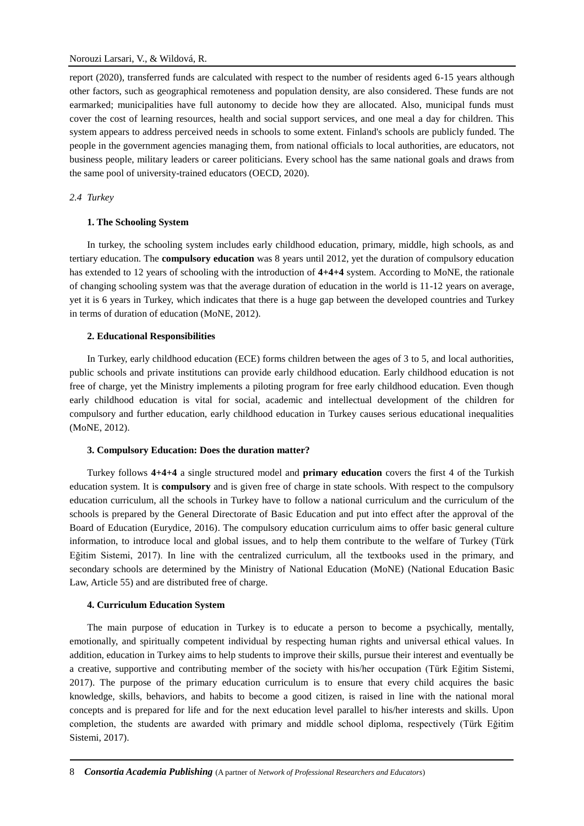report (2020), transferred funds are calculated with respect to the number of residents aged 6-15 years although other factors, such as geographical remoteness and population density, are also considered. These funds are not earmarked; municipalities have full autonomy to decide how they are allocated. Also, municipal funds must cover the cost of learning resources, health and social support services, and one meal a day for children. This system appears to address perceived needs in schools to some extent. Finland's schools are publicly funded. The people in the government agencies managing them, from national officials to local authorities, are educators, not business people, military leaders or career politicians. Every school has the same national goals and draws from the same pool of university-trained educators (OECD, 2020).

# *2.4 Turkey*

## **1. The Schooling System**

In turkey, the schooling system includes early childhood education, primary, middle, high schools, as and tertiary education. The **compulsory education** was 8 years until 2012, yet the duration of compulsory education has extended to 12 years of schooling with the introduction of **4+4+4** system. According to MoNE, the rationale of changing schooling system was that the average duration of education in the world is 11-12 years on average, yet it is 6 years in Turkey, which indicates that there is a huge gap between the developed countries and Turkey in terms of duration of education (MoNE, 2012).

# **2. Educational Responsibilities**

In Turkey, early childhood education (ECE) forms children between the ages of 3 to 5, and local authorities, public schools and private institutions can provide early childhood education. Early childhood education is not free of charge, yet the Ministry implements a piloting program for free early childhood education. Even though early childhood education is vital for social, academic and intellectual development of the children for compulsory and further education, early childhood education in Turkey causes serious educational inequalities (MoNE, 2012).

## **3. Compulsory Education: Does the duration matter?**

Turkey follows **4+4+4** a single structured model and **primary education** covers the first 4 of the Turkish education system. It is **compulsory** and is given free of charge in state schools. With respect to the compulsory education curriculum, all the schools in Turkey have to follow a national curriculum and the curriculum of the schools is prepared by the General Directorate of Basic Education and put into effect after the approval of the Board of Education (Eurydice, 2016). The compulsory education curriculum aims to offer basic general culture information, to introduce local and global issues, and to help them contribute to the welfare of Turkey (Türk Eğitim Sistemi, 2017). In line with the centralized curriculum, all the textbooks used in the primary, and secondary schools are determined by the Ministry of National Education (MoNE) (National Education Basic Law, Article 55) and are distributed free of charge.

## **4. Curriculum Education System**

The main purpose of education in Turkey is to educate a person to become a psychically, mentally, emotionally, and spiritually competent individual by respecting human rights and universal ethical values. In addition, education in Turkey aims to help students to improve their skills, pursue their interest and eventually be a creative, supportive and contributing member of the society with his/her occupation (Türk Eğitim Sistemi, 2017). The purpose of the primary education curriculum is to ensure that every child acquires the basic knowledge, skills, behaviors, and habits to become a good citizen, is raised in line with the national moral concepts and is prepared for life and for the next education level parallel to his/her interests and skills. Upon completion, the students are awarded with primary and middle school diploma, respectively (Türk Eğitim Sistemi, 2017).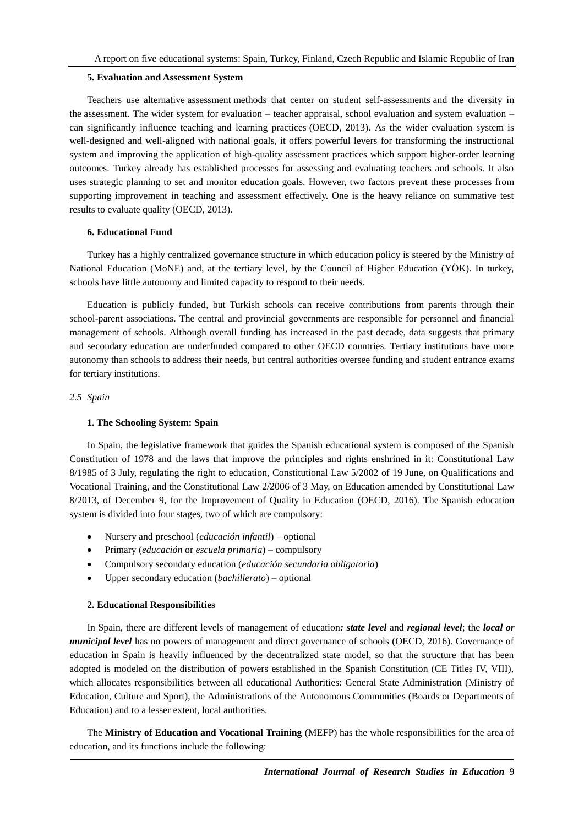#### **5. Evaluation and Assessment System**

Teachers use alternative assessment methods that center on student self-assessments and the diversity in the assessment. The wider system for evaluation – teacher appraisal, school evaluation and system evaluation – can significantly influence teaching and learning practices (OECD, 2013). As the wider evaluation system is well-designed and well-aligned with national goals, it offers powerful levers for transforming the instructional system and improving the application of high-quality assessment practices which support higher-order learning outcomes. Turkey already has established processes for assessing and evaluating teachers and schools. It also uses strategic planning to set and monitor education goals. However, two factors prevent these processes from supporting improvement in teaching and assessment effectively. One is the heavy reliance on summative test results to evaluate quality (OECD, 2013).

# **6. Educational Fund**

Turkey has a highly centralized governance structure in which education policy is steered by the Ministry of National Education (MoNE) and, at the tertiary level, by the Council of Higher Education (YÖ K). In turkey, schools have little autonomy and limited capacity to respond to their needs.

Education is publicly funded, but Turkish schools can receive contributions from parents through their school-parent associations. The central and provincial governments are responsible for personnel and financial management of schools. Although overall funding has increased in the past decade, data suggests that primary and secondary education are underfunded compared to other OECD countries. Tertiary institutions have more autonomy than schools to address their needs, but central authorities oversee funding and student entrance exams for tertiary institutions.

# *2.5 Spain*

## **1. The Schooling System: Spain**

In Spain, the legislative framework that guides the Spanish educational system is composed of the Spanish Constitution of 1978 and the laws that improve the principles and rights enshrined in it: Constitutional Law 8/1985 of 3 July, regulating the right to education, Constitutional Law 5/2002 of 19 June, on Qualifications and Vocational Training, and the Constitutional Law 2/2006 of 3 May, on Education amended by Constitutional Law 8/2013, of December 9, for the Improvement of Quality in Education (OECD, 2016). The Spanish education system is divided into four stages, two of which are compulsory:

- Nursery and preschool (*educación infantil*) optional
- Primary (*educación* or *escuela primaria*) compulsory
- Compulsory secondary education (*educación secundaria obligatoria*)
- Upper secondary education (*bachillerato*) optional

# **2. Educational Responsibilities**

In Spain, there are different levels of management of education*: state level* and *regional level*; the *local or municipal level* has no powers of management and direct governance of schools (OECD, 2016). Governance of education in Spain is heavily influenced by the decentralized state model, so that the structure that has been adopted is modeled on the distribution of powers established in the Spanish Constitution (CE Titles IV, VIII), which allocates responsibilities between all educational Authorities: General State Administration (Ministry of Education, Culture and Sport), the Administrations of the Autonomous Communities (Boards or Departments of Education) and to a lesser extent, local authorities.

The **Ministry of Education and Vocational Training** (MEFP) has the whole responsibilities for the area of education, and its functions include the following: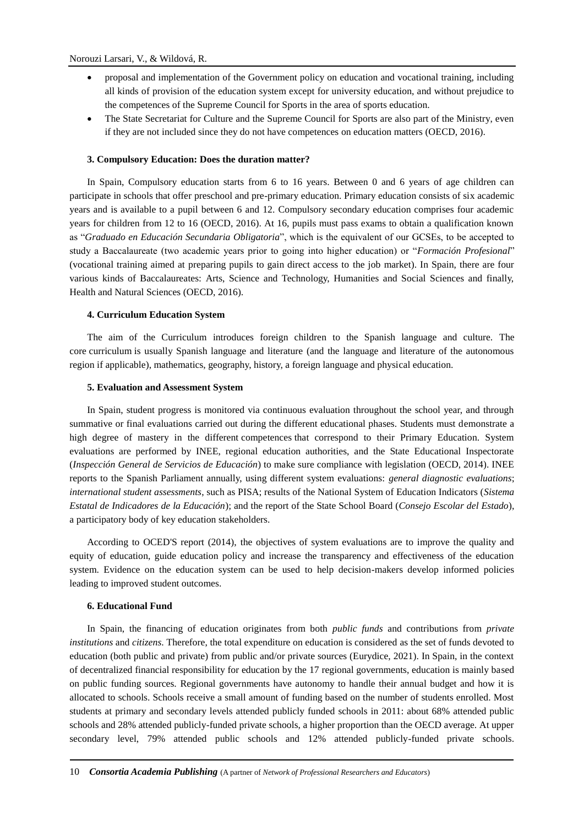- proposal and implementation of the Government policy on education and vocational training, including all kinds of provision of the education system except for university education, and without prejudice to the competences of the Supreme Council for Sports in the area of sports education.
- The State Secretariat for Culture and the Supreme Council for Sports are also part of the Ministry, even if they are not included since they do not have competences on education matters (OECD, 2016).

# **3. Compulsory Education: Does the duration matter?**

In Spain, Compulsory education starts from 6 to 16 years. Between 0 and 6 years of age children can participate in schools that offer preschool and pre-primary education. Primary education consists of six academic years and is available to a pupil between 6 and 12. Compulsory secondary education comprises four academic years for children from 12 to 16 (OECD, 2016). At 16, pupils must pass exams to obtain a qualification known as "*Graduado en Educación Secundaria Obligatoria*", which is the equivalent of our GCSEs, to be accepted to study a Baccalaureate (two academic years prior to going into higher education) or "*Formación Profesional*" (vocational training aimed at preparing pupils to gain direct access to the job market). In Spain, there are four various kinds of Baccalaureates: Arts, Science and Technology, Humanities and Social Sciences and finally, Health and Natural Sciences (OECD, 2016).

## **4. Curriculum Education System**

The aim of the Curriculum introduces foreign children to the Spanish language and culture. The core curriculum is usually Spanish language and literature (and the language and literature of the autonomous region if applicable), mathematics, geography, history, a foreign language and physical education.

## **5. Evaluation and Assessment System**

In Spain, student progress is monitored via continuous evaluation throughout the school year, and through summative or final evaluations carried out during the different educational phases. Students must demonstrate a high degree of mastery in the different competences that correspond to their Primary Education. System evaluations are performed by INEE, regional education authorities, and the State Educational Inspectorate (*Inspección General de Servicios de Educación*) to make sure compliance with legislation (OECD, 2014). INEE reports to the Spanish Parliament annually, using different system evaluations: *general diagnostic evaluations*; *international student assessments*, such as PISA; results of the National System of Education Indicators (*Sistema Estatal de Indicadores de la Educación*); and the report of the State School Board (*Consejo Escolar del Estado*), a participatory body of key education stakeholders.

According to OCED'S report (2014), the objectives of system evaluations are to improve the quality and equity of education, guide education policy and increase the transparency and effectiveness of the education system. Evidence on the education system can be used to help decision-makers develop informed policies leading to improved student outcomes.

# **6. Educational Fund**

In Spain, the financing of education originates from both *public funds* and contributions from *private institutions* and *citizens*. Therefore, the total expenditure on education is considered as the set of funds devoted to education (both public and private) from public and/or private sources (Eurydice, 2021). In Spain, in the context of decentralized financial responsibility for education by the 17 regional governments, education is mainly based on public funding sources. Regional governments have autonomy to handle their annual budget and how it is allocated to schools. Schools receive a small amount of funding based on the number of students enrolled. Most students at primary and secondary levels attended publicly funded schools in 2011: about 68% attended public schools and 28% attended publicly-funded private schools, a higher proportion than the OECD average. At upper secondary level, 79% attended public schools and 12% attended publicly-funded private schools.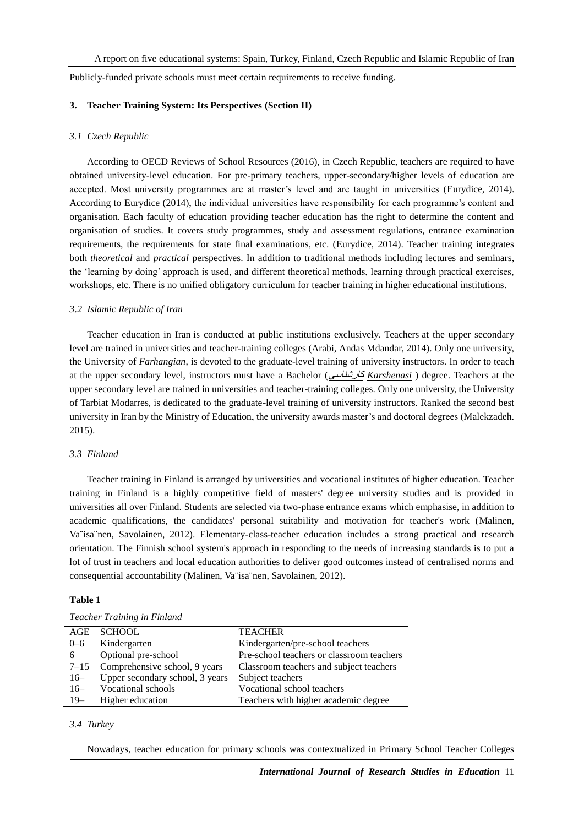Publicly-funded private schools must meet certain requirements to receive funding.

# **3. Teacher Training System: Its Perspectives (Section II)**

#### *3.1 Czech Republic*

According to OECD Reviews of School Resources (2016), in Czech Republic, teachers are required to have obtained university-level education. For pre-primary teachers, upper-secondary/higher levels of education are accepted. Most university programmes are at master's level and are taught in universities (Eurydice, 2014). According to Eurydice (2014), the individual universities have responsibility for each programme's content and organisation. Each faculty of education providing teacher education has the right to determine the content and organisation of studies. It covers study programmes, study and assessment regulations, entrance examination requirements, the requirements for state final examinations, etc. (Eurydice, 2014). Teacher training integrates both *theoretical* and *practical* perspectives. In addition to traditional methods including lectures and seminars, the 'learning by doing' approach is used, and different theoretical methods, learning through practical exercises, workshops, etc. There is no unified obligatory curriculum for teacher training in higher educational institutions.

### *3.2 Islamic Republic of Iran*

Teacher education in Iran is conducted at public institutions exclusively. Teachers at the upper secondary level are trained in universities and teacher-training colleges (Arabi, Andas Mdandar, 2014). Only one university, the University of *Farhangian*, is devoted to the graduate-level training of university instructors. In order to teach at the upper secondary level, instructors must have a Bachelor (کارشناسی *Karshenasi* ) degree. Teachers at the upper secondary level are trained in universities and teacher-training colleges. Only one university, the University of Tarbiat Modarres, is dedicated to the graduate-level training of university instructors. Ranked the second best university in Iran by the [Ministry of Education,](https://www.msrt.ir/en) the university awards master's and doctoral degrees (Malekzadeh. 2015).

#### *3.3 Finland*

Teacher training in Finland is arranged by universities and vocational institutes of higher education. Teacher training in Finland is a highly competitive field of masters' degree university studies and is provided in universities all over Finland. Students are selected via two-phase entrance exams which emphasise, in addition to academic qualifications, the candidates' personal suitability and motivation for teacher's work (Malinen, Va¨isa¨nen, Savolainen, 2012). Elementary-class-teacher education includes a strong practical and research orientation. The Finnish school system's approach in responding to the needs of increasing standards is to put a lot of trust in teachers and local education authorities to deliver good outcomes instead of centralised norms and consequential accountability (Malinen, Va¨isa¨nen, Savolainen, 2012).

#### **Table 1**

| AGE     | <b>SCHOOL</b>                        | <b>TEACHER</b>                            |
|---------|--------------------------------------|-------------------------------------------|
| $0 - 6$ | Kindergarten                         | Kindergarten/pre-school teachers          |
| 6       | Optional pre-school                  | Pre-school teachers or classroom teachers |
|         | $7-15$ Comprehensive school, 9 years | Classroom teachers and subject teachers   |
| $16-$   | Upper secondary school, 3 years      | Subject teachers                          |
| $16-$   | Vocational schools                   | Vocational school teachers                |
| $19-$   | Higher education                     | Teachers with higher academic degree      |

# *Teacher Training in Finland*

# *3.4 Turkey*

Nowadays, teacher education for primary schools was contextualized in Primary School Teacher Colleges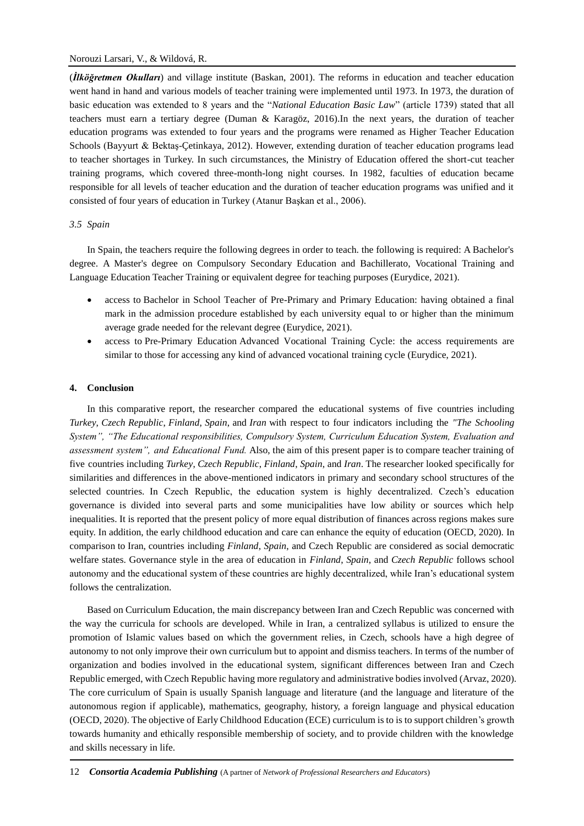(*İlköğretmen Okulları*) and village institute (Baskan, 2001). The reforms in education and teacher education went hand in hand and various models of teacher training were implemented until 1973. In 1973, the duration of basic education was extended to 8 years and the "*National Education Basic Law*" (article 1739) stated that all teachers must earn a tertiary degree (Duman & Karagöz, 2016).In the next years, the duration of teacher education programs was extended to four years and the programs were renamed as Higher Teacher Education Schools (Bayyurt & Bektaş-Ç etinkaya, 2012). However, extending duration of teacher education programs lead to teacher shortages in Turkey. In such circumstances, the Ministry of Education offered the short-cut teacher training programs, which covered three-month-long night courses. In 1982, faculties of education became responsible for all levels of teacher education and the duration of teacher education programs was unified and it consisted of four years of education in Turkey (Atanur Başkan et al., 2006).

## *3.5 Spain*

In Spain, the teachers require the following degrees in order to teach. the following is required: A Bachelor's degree. A Master's degree on Compulsory Secondary Education and Bachillerato, Vocational Training and Language Education Teacher Training or equivalent degree for teaching purposes (Eurydice, 2021).

- access to Bachelor in School Teacher of Pre-Primary and Primary Education: having obtained a final mark in the admission procedure established by each university equal to or higher than the minimum average grade needed for the relevant degree (Eurydice, 2021).
- access to Pre-Primary Education Advanced Vocational Training Cycle: the access requirements are similar to those for accessing any kind of advanced vocational training cycle (Eurydice, 2021).

## **4. Conclusion**

In this comparative report, the researcher compared the educational systems of five countries including *Turkey*, *Czech Republic*, *Finland*, *Spain*, and *Iran* with respect to four indicators including the *"The Schooling System", "The Educational responsibilities, Compulsory System, Curriculum Education System, Evaluation and assessment system", and Educational Fund.* Also, the aim of this present paper is to compare teacher training of five countries including *Turkey*, *Czech Republic*, *Finland*, *Spain*, and *Iran*. The researcher looked specifically for similarities and differences in the above-mentioned indicators in primary and secondary school structures of the selected countries. In Czech Republic, the education system is highly decentralized. Czech's education governance is divided into several parts and some municipalities have low ability or sources which help inequalities. It is reported that the present policy of more equal distribution of finances across regions makes sure equity. In addition, the early childhood education and care can enhance the equity of education (OECD, 2020). In comparison to Iran, countries including *Finland*, *Spain*, and Czech Republic are considered as social democratic welfare states. Governance style in the area of education in *Finland*, *Spain*, and *Czech Republic* follows school autonomy and the educational system of these countries are highly decentralized, while Iran's educational system follows the centralization.

Based on Curriculum Education, the main discrepancy between Iran and Czech Republic was concerned with the way the curricula for schools are developed. While in Iran, a centralized syllabus is utilized to ensure the promotion of Islamic values based on which the government relies, in Czech, schools have a high degree of autonomy to not only improve their own curriculum but to appoint and dismiss teachers. In terms of the number of organization and bodies involved in the educational system, significant differences between Iran and Czech Republic emerged, with Czech Republic having more regulatory and administrative bodies involved (Arvaz, 2020). The core curriculum of Spain is usually Spanish language and literature (and the language and literature of the autonomous region if applicable), mathematics, geography, history, a foreign language and physical education (OECD, 2020). The objective of Early Childhood Education (ECE) curriculum is to is to support children's growth towards humanity and ethically responsible membership of society, and to provide children with the knowledge and skills necessary in life.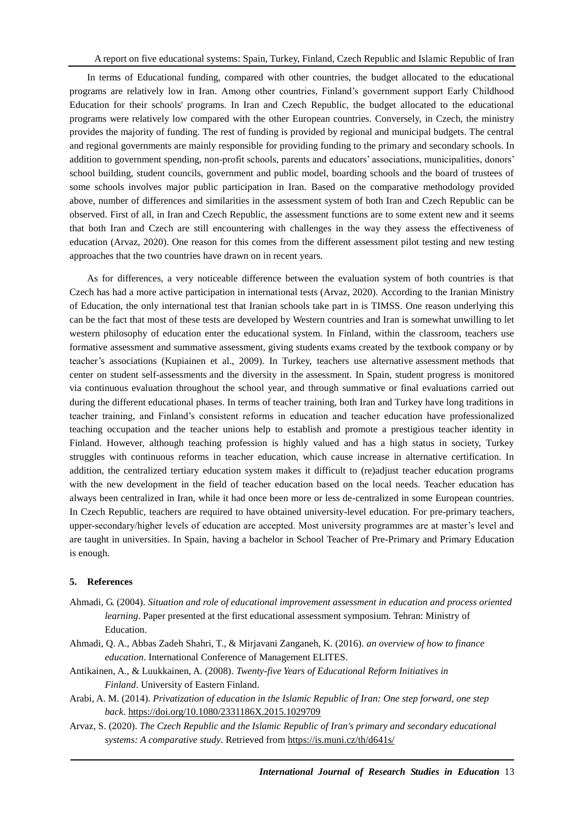In terms of Educational funding, compared with other countries, the budget allocated to the educational programs are relatively low in Iran. Among other countries, Finland's government support Early Childhood Education for their schools' programs. In Iran and Czech Republic, the budget allocated to the educational programs were relatively low compared with the other European countries. Conversely, in Czech, the ministry provides the majority of funding. The rest of funding is provided by regional and municipal budgets. The central and regional governments are mainly responsible for providing funding to the primary and secondary schools. In addition to government spending, non-profit schools, parents and educators' associations, municipalities, donors' school building, student councils, government and public model, boarding schools and the board of trustees of some schools involves major public participation in Iran. Based on the comparative methodology provided above, number of differences and similarities in the assessment system of both Iran and Czech Republic can be observed. First of all, in Iran and Czech Republic, the assessment functions are to some extent new and it seems that both Iran and Czech are still encountering with challenges in the way they assess the effectiveness of education (Arvaz, 2020). One reason for this comes from the different assessment pilot testing and new testing approaches that the two countries have drawn on in recent years.

As for differences, a very noticeable difference between the evaluation system of both countries is that Czech has had a more active participation in international tests (Arvaz, 2020). According to the Iranian Ministry of Education, the only international test that Iranian schools take part in is TIMSS. One reason underlying this can be the fact that most of these tests are developed by Western countries and Iran is somewhat unwilling to let western philosophy of education enter the educational system. In Finland, within the classroom, teachers use formative assessment and summative assessment, giving students exams created by the textbook company or by teacher's associations (Kupiainen et al., 2009). In Turkey, teachers use alternative assessment methods that center on student self-assessments and the diversity in the assessment. In Spain, student progress is monitored via continuous evaluation throughout the school year, and through summative or final evaluations carried out during the different educational phases. In terms of teacher training, both Iran and Turkey have long traditions in teacher training, and Finland's consistent reforms in education and teacher education have professionalized teaching occupation and the teacher unions help to establish and promote a prestigious teacher identity in Finland. However, although teaching profession is highly valued and has a high status in society, Turkey struggles with continuous reforms in teacher education, which cause increase in alternative certification. In addition, the centralized tertiary education system makes it difficult to (re)adjust teacher education programs with the new development in the field of teacher education based on the local needs. Teacher education has always been centralized in Iran, while it had once been more or less de-centralized in some European countries. In Czech Republic, teachers are required to have obtained university-level education. For pre-primary teachers, upper-secondary/higher levels of education are accepted. Most university programmes are at master's level and are taught in universities. In Spain, having a bachelor in School Teacher of Pre-Primary and Primary Education is enough.

## **5. References**

- Ahmadi, G. (2004). *Situation and role of educational improvement assessment in education and process oriented learning*. Paper presented at the first educational assessment symposium. Tehran: Ministry of Education.
- Ahmadi, Q. A., Abbas Zadeh Shahri, T., & Mirjavani Zanganeh, K. (2016). *an overview of how to finance education*. International Conference of Management ELITES.
- Antikainen, A., & Luukkainen, A. (2008). *[Twenty-five Years of Educational Reform Initiatives in](https://web.archive.org/web/20170517122719/http:/www.oppi.uef.fi/~anti/publ/uudet/twenty_five_years.pdf)  [Finland](https://web.archive.org/web/20170517122719/http:/www.oppi.uef.fi/~anti/publ/uudet/twenty_five_years.pdf)*. University of Eastern Finland.
- Arabi, A. M. (2014). *Privatization of education in the Islamic Republic of Iran: One step forward, one step back*. <https://doi.org/10.1080/2331186X.2015.1029709>
- Arvaz, S. (2020). *The Czech Republic and the Islamic Republic of Iran's primary and secondary educational systems: A comparative study*. Retrieved from<https://is.muni.cz/th/d641s/>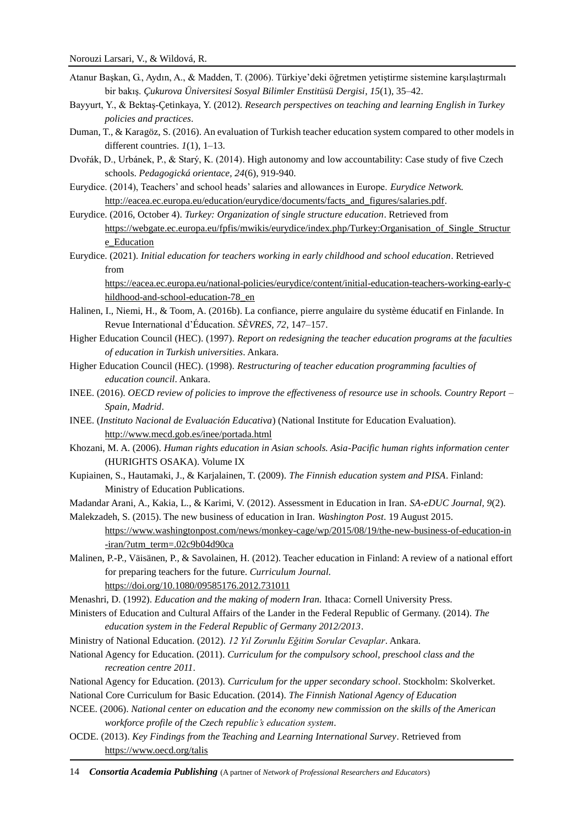- Atanur Başkan, G., Aydın, A., & Madden, T. (2006). Türkiye'deki öğretmen yetiştirme sistemine karşılaştırmalı bir bakış. *Ç ukurova Ü niversitesi Sosyal Bilimler Enstitüsü Dergisi*, *15*(1), 35–42.
- Bayyurt, Y., & Bektaş-Ç etinkaya, Y. (2012). *Research perspectives on teaching and learning English in Turkey policies and practices*.
- Duman, T., & Karagöz, S. (2016). An evaluation of Turkish teacher education system compared to other models in different countries. *1*(1), 1–13.
- Dvořák, D., Urbánek, P., & Starý, K. (2014). High autonomy and low accountability: Case study of five Czech schools. *Pedagogická orientace, 24*(6), 919-940.
- Eurydice. (2014), Teachers' and school heads' salaries and allowances in Europe. *Eurydice Network.* [http://eacea.ec.europa.eu/education/eurydice/documents/facts\\_and\\_figures/salaries.pdf.](http://eacea.ec.europa.eu/education/eurydice/documents/facts_and_figures/salaries.pdf)
- Eurydice. (2016, October 4). *Turkey: Organization of single structure education*. Retrieved from [https://webgate.ec.europa.eu/fpfis/mwikis/eurydice/index.php/Turkey:Organisation\\_of\\_Single\\_Structur](https://webgate.ec.europa.eu/fpfis/mwikis/eurydice/index.php/Turkey:Organisation_of_Single_Structure_Education) [e\\_Education](https://webgate.ec.europa.eu/fpfis/mwikis/eurydice/index.php/Turkey:Organisation_of_Single_Structure_Education)
- Eurydice. (2021). *Initial education for teachers working in early childhood and school education*. Retrieved from

[https://eacea.ec.europa.eu/national-policies/eurydice/content/initial-education-teachers-working-early-c](https://eacea.ec.europa.eu/national-policies/eurydice/content/initial-education-teachers-working-early-childhood-and-school-education-78_en) [hildhood-and-school-education-78\\_en](https://eacea.ec.europa.eu/national-policies/eurydice/content/initial-education-teachers-working-early-childhood-and-school-education-78_en)

- Halinen, I., Niemi, H., & Toom, A. (2016b). La confiance, pierre angulaire du système éducatif en Finlande. In Revue International d'Éducation. *SÈVRES, 72*, 147–157.
- Higher Education Council (HEC). (1997). *Report on redesigning the teacher education programs at the faculties of education in Turkish universities*. Ankara.
- Higher Education Council (HEC). (1998). *Restructuring of teacher education programming faculties of education council*. Ankara.
- INEE. (2016). *OECD review of policies to improve the effectiveness of resource use in schools. Country Report – Spain, Madrid*.
- INEE. (*Instituto Nacional de Evaluación Educativa*) (National Institute for Education Evaluation). <http://www.mecd.gob.es/inee/portada.html>
- Khozani, M. A. (2006). *Human rights education in Asian schools. Asia-Pacific human rights information center* (HURIGHTS OSAKA). Volume IX
- Kupiainen, S., Hautamaki, J., & Karjalainen, T. (2009). *The Finnish education system and PISA*. Finland: Ministry of Education Publications.

Madandar Arani, A., Kakia, L., & Karimi, V. (2012). Assessment in Education in Iran. *SA-eDUC Journal, 9*(2).

Malekzadeh, S. (2015). The new business of education in Iran. *Washington Post*. 19 August 2015. [https://www.washingtonpost.com/news/monkey-cage/wp/2015/08/19/the-new-business-of-education-in](https://www.washingtonpost.com/news/monkey-cage/wp/2015/08/19/the-new-business-of-education-in-iran/?utm_term=.02c9b04d90ca) [-iran/?utm\\_term=.02c9b04d90ca](https://www.washingtonpost.com/news/monkey-cage/wp/2015/08/19/the-new-business-of-education-in-iran/?utm_term=.02c9b04d90ca)

Malinen, P.-P., Väisänen, P., & Savolainen, H. (2012). Teacher education in Finland: A review of a national effort for preparing teachers for the future. *Curriculum Journal.* <https://doi.org/10.1080/09585176.2012.731011>

Menashri, D. (1992). *Education and the making of modern Iran.* Ithaca: Cornell University Press.

- Ministers of Education and Cultural Affairs of the Lander in the Federal Republic of Germany. (2014). *The education system in the Federal Republic of Germany 2012/2013*.
- Ministry of National Education. (2012). *12 Yıl Zorunlu Eğitim Sorular Cevaplar*. Ankara.
- National Agency for Education. (2011). *Curriculum for the compulsory school, preschool class and the recreation centre 2011*.
- National Agency for Education. (2013). *Curriculum for the upper secondary school*. Stockholm: Skolverket.

National Core Curriculum for Basic Education. (2014). *The Finnish National Agency of Education*

- NCEE. (2006). *National center on education and the economy new commission on the skills of the American workforce profile of the Czech republic's education system*.
- OCDE. (2013). *Key Findings from the Teaching and Learning International Survey*. Retrieved from <https://www.oecd.org/talis>

14 *Consortia Academia Publishing* (A partner of *Network of Professional Researchers and Educators*)